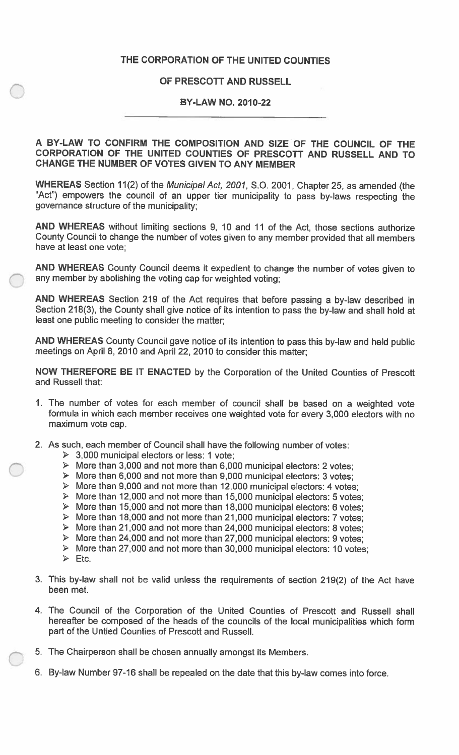## **THE CORPORATION OF THE UNITED COUNTIES**

## **OF PRESCOTT AND RUSSELL**

## **BY-LAW NO. 2010-22**

## **A BY-LAW TO CONFIRM THE COMPOSITION AND SIZE OF THE COUNCIL OF THE CORPORATION OF THE UNITED COUNTIES OF PRESCOTT AND RUSSELL AND TO CHANGE THE NUMBER OF VOTES GIVEN TO ANY MEMBER**

WHEREAS Section 11(2) of the *Municipal Act, 2001,* S.O. 2001, Chapter 25, as amended (the "Act") empowers the council of an upper tier municipality to pass by-laws respecting the governance structure of the municipality;

**AND WHEREAS** without limiting sections 9, 10 and 11 of the Act, those sections authorize County Council to change the number of votes given to any member provided that all members have at least one vote;

**AND WHEREAS** County Council deems it expedient to change the number of votes given to any member by abolishing the voting cap for weighted voting;

**AND WHEREAS** Section 219 of the Act requires that before passing a by-law described in Section 218(3), the County shall give notice of its intention to pass the by-law and shall hold at least one public meeting to consider the matter;

**AND WHEREAS** County Council gave notice of its intention to pass this by-law and held public meetings on April 8, 2010 and April 22, 2010 to consider this matter;

**NOW THEREFORE BE IT ENACTED** by the Corporation of the United Counties of Prescott and Russell that:

- 1. The number of votes for each member of council shall be based on a weighted vote formula in which each member receives one weighted vote for every 3,000 electors with no maximum vote cap.
- 2. As such, each member of Council shall have the following number of votes:
	- $\geq$  3,000 municipal electors or less: 1 vote;
	- $\triangleright$  More than 3,000 and not more than 6,000 municipal electors: 2 votes;
	- $\triangleright$  More than 6,000 and not more than 9,000 municipal electors: 3 votes;
	- *>* More than 9,000 and not more than 12,000 municipal electors: 4 votes;
	- > More than 12,000 and not more than 15,000 municipal electors: 5 votes;
	- $\triangleright$  More than 15,000 and not more than 18,000 municipal electors: 6 votes;
	- $\triangleright$  More than 18,000 and not more than 21,000 municipal electors: 7 votes;
	- > More than 21,000 and not more than 24,000 municipal electors: <sup>8</sup>votes;
	- *>* More than 24,000 and not more than 27,000 municipal electors: 9 votes;
	- <sup>&</sup>gt;More than 27,000 and not more than 30,000 municipal electors: 10 votes;
	- $\triangleright$  Etc.
- 3. This by-law shall not be valid unless the requirements of section 219(2) of the Act have been met.
- 4. The Council of the Corporation of the United Counties of Prescott and Russell shall hereafter be composed of the heads of the councils of the local municipalities which form part of the Untied Counties of Prescott and Russell.
- 5. The Chairperson shall be chosen annually amongst its Members.
- 6. By-law Number 97-16 shall be repealed on the date that this by-law comes into force.